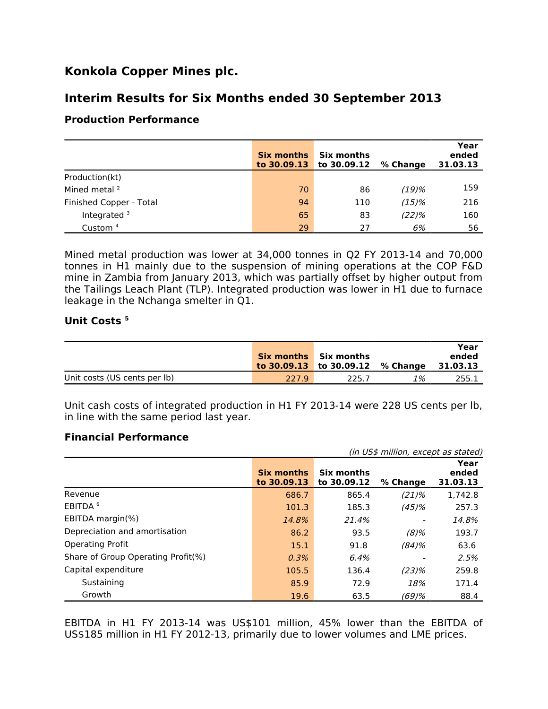# **Konkola Copper Mines plc.**

## **Interim Results for Six Months ended 30 September 2013**

### **Production Performance**

|                         | <b>Six months</b><br>to $30.09.13$ | Six months<br>to $30.09.12$ | % Change | Year<br>ended<br>31.03.13 |
|-------------------------|------------------------------------|-----------------------------|----------|---------------------------|
| Production(kt)          |                                    |                             |          |                           |
| Mined metal $2$         | 70                                 | 86                          | $(19)$ % | 159                       |
| Finished Copper - Total | 94                                 | 110                         | (15)%    | 216                       |
| Integrated <sup>3</sup> | 65                                 | 83                          | (22)%    | 160                       |
| Custom <sup>4</sup>     | 29                                 | 27                          | 6%       | 56                        |

Mined metal production was lower at 34,000 tonnes in Q2 FY 2013-14 and 70,000 tonnes in H1 mainly due to the suspension of mining operations at the COP F&D mine in Zambia from January 2013, which was partially offset by higher output from the Tailings Leach Plant (TLP). Integrated production was lower in H1 due to furnace leakage in the Nchanga smelter in Q1.

#### **Unit Costs <sup>5</sup>**

|                              |       | <b>Six months</b> Six months<br>to 30.09.13 to 30.09.12 % Change |    | Year<br>ended<br>31.03.13 |
|------------------------------|-------|------------------------------------------------------------------|----|---------------------------|
| Unit costs (US cents per lb) | 227.9 | 225 J                                                            | 1% | 255.1                     |

Unit cash costs of integrated production in H1 FY 2013-14 were 228 US cents per lb, in line with the same period last year.

#### **Financial Performance**

|                                    | (in US\$ million, except as stated) |                           |          |                           |  |
|------------------------------------|-------------------------------------|---------------------------|----------|---------------------------|--|
|                                    | <b>Six months</b><br>to 30,09.13    | Six months<br>to 30.09.12 | % Change | Year<br>ended<br>31.03.13 |  |
| Revenue                            | 686.7                               | 865.4                     | $(21)\%$ | 1,742.8                   |  |
| EBITDA <sup>6</sup>                | 101.3                               | 185.3                     | (45)%    | 257.3                     |  |
| EBITDA margin(%)                   | 14.8%                               | 21.4%                     |          | 14.8%                     |  |
| Depreciation and amortisation      | 86.2                                | 93.5                      | $(8)\%$  | 193.7                     |  |
| <b>Operating Profit</b>            | 15.1                                | 91.8                      | (84)%    | 63.6                      |  |
| Share of Group Operating Profit(%) | 0.3%                                | 6.4%                      |          | 2.5%                      |  |
| Capital expenditure                | 105.5                               | 136.4                     | (23)%    | 259.8                     |  |
| Sustaining                         | 85.9                                | 72.9                      | 18%      | 171.4                     |  |
| Growth                             | 19.6                                | 63.5                      | (69)%    | 88.4                      |  |

EBITDA in H1 FY 2013-14 was US\$101 million, 45% lower than the EBITDA of US\$185 million in H1 FY 2012-13, primarily due to lower volumes and LME prices.